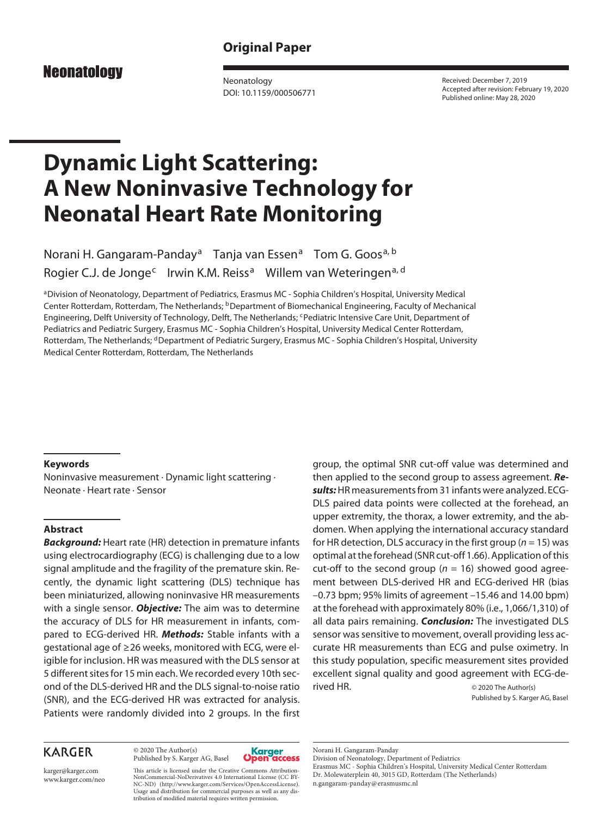# **Original Paper**

# **Neonatology**

Neonatology DOI: 10.1159/000506771

Received: December 7, 2019 Accepted after revision: February 19, 2020 Published online: May 28, 2020

# **Dynamic Light Scattering: A New Noninvasive Technology for Neonatal Heart Rate Monitoring**

Norani H. Gangaram-Panday<sup>a</sup> Tanja van Essen<sup>a</sup> Tom G. Goos<sup>a, b</sup> Rogier C.J. de Jonge<sup>c</sup> Irwin K.M. Reiss<sup>a</sup> Willem van Weteringen<sup>a, d</sup>

aDivision of Neonatology, Department of Pediatrics, Erasmus MC - Sophia Children's Hospital, University Medical Center Rotterdam, Rotterdam, The Netherlands; <sup>b</sup>Department of Biomechanical Engineering, Faculty of Mechanical Engineering, Delft University of Technology, Delft, The Netherlands; <sup>c</sup>Pediatric Intensive Care Unit, Department of Pediatrics and Pediatric Surgery, Erasmus MC - Sophia Children's Hospital, University Medical Center Rotterdam, Rotterdam, The Netherlands; <sup>d</sup>Department of Pediatric Surgery, Erasmus MC - Sophia Children's Hospital, University Medical Center Rotterdam, Rotterdam, The Netherlands

## **Keywords**

Noninvasive measurement · Dynamic light scattering · Neonate · Heart rate · Sensor

# **Abstract**

*Background:* Heart rate (HR) detection in premature infants using electrocardiography (ECG) is challenging due to a low signal amplitude and the fragility of the premature skin. Recently, the dynamic light scattering (DLS) technique has been miniaturized, allowing noninvasive HR measurements with a single sensor. *Objective:* The aim was to determine the accuracy of DLS for HR measurement in infants, compared to ECG-derived HR. *Methods:* Stable infants with a gestational age of ≥26 weeks, monitored with ECG, were eligible for inclusion. HR was measured with the DLS sensor at 5 different sites for 15 min each. We recorded every 10th second of the DLS-derived HR and the DLS signal-to-noise ratio (SNR), and the ECG-derived HR was extracted for analysis. Patients were randomly divided into 2 groups. In the first

# group, the optimal SNR cut-off value was determined and then applied to the second group to assess agreement. *Results:* HR measurements from 31 infants were analyzed. ECG-DLS paired data points were collected at the forehead, an upper extremity, the thorax, a lower extremity, and the abdomen. When applying the international accuracy standard for HR detection, DLS accuracy in the first group (*n* = 15) was optimal at the forehead (SNR cut-off 1.66). Application of this cut-off to the second group ( $n = 16$ ) showed good agreement between DLS-derived HR and ECG-derived HR (bias –0.73 bpm; 95% limits of agreement –15.46 and 14.00 bpm) at the forehead with approximately 80% (i.e., 1,066/1,310) of all data pairs remaining. *Conclusion:* The investigated DLS sensor was sensitive to movement, overall providing less accurate HR measurements than ECG and pulse oximetry. In this study population, specific measurement sites provided excellent signal quality and good agreement with ECG-derived HR. © 2020 The Author(s)

Published by S. Karger AG, Basel

# **KARGER**

© 2020 The Author(s) Published by S. Karger AG, Basel



karger@karger.com www.karger.com/neo

This article is licensed under the Creative Commons Attribution-NonCommercial-NoDerivatives 4.0 International License (CC BY-NC-ND) (http://www.karger.com/Services/OpenAccessLicense). Usage and distribution for commercial purposes as well as any distribution of modified material requires written permission.

Norani H. Gangaram-Panday

Division of Neonatology, Department of Pediatrics Erasmus MC - Sophia Children's Hospital, University Medical Center Rotterdam Dr. Molewaterplein 40, 3015 GD, Rotterdam (The Netherlands)

n.gangaram-panday@erasmusmc.nl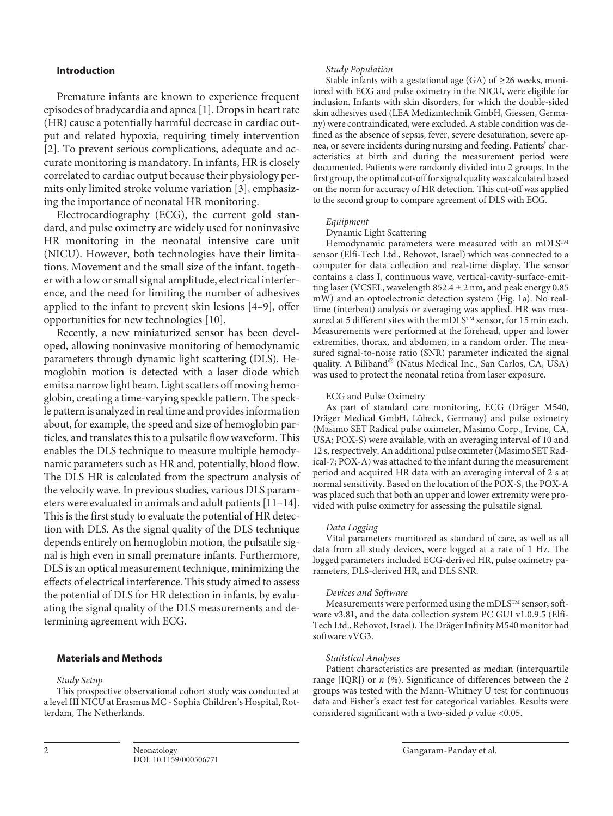# **Introduction**

<span id="page-1-1"></span><span id="page-1-0"></span>Premature infants are known to experience frequent episodes of bradycardia and apnea [[1\]](#page-7-0). Drops in heart rate (HR) cause a potentially harmful decrease in cardiac output and related hypoxia, requiring timely intervention [\[2\]](#page-7-1). To prevent serious complications, adequate and accurate monitoring is mandatory. In infants, HR is closely correlated to cardiac output because their physiology permits only limited stroke volume variation [[3\]](#page-7-2), emphasizing the importance of neonatal HR monitoring.

<span id="page-1-2"></span>Electrocardiography (ECG), the current gold standard, and pulse oximetry are widely used for noninvasive HR monitoring in the neonatal intensive care unit (NICU). However, both technologies have their limitations. Movement and the small size of the infant, together with a low or small signal amplitude, electrical interference, and the need for limiting the number of adhesives applied to the infant to prevent skin lesions [[4–](#page-7-3)[9\]](#page-7-4), offer opportunities for new technologies [[1](#page-7-0)0].

<span id="page-1-4"></span><span id="page-1-3"></span>Recently, a new miniaturized sensor has been developed, allowing noninvasive monitoring of hemodynamic parameters through dynamic light scattering (DLS). Hemoglobin motion is detected with a laser diode which emits a narrow light beam. Light scatters off moving hemoglobin, creating a time-varying speckle pattern. The speckle pattern is analyzed in real time and provides information about, for example, the speed and size of hemoglobin particles, and translates this to a pulsatile flow waveform. This enables the DLS technique to measure multiple hemodynamic parameters such as HR and, potentially, blood flow. The DLS HR is calculated from the spectrum analysis of the velocity wave. In previous studies, various DLS parameters were evaluated in animals and adult patients [[11](#page-7-0)–[1](#page-7-0)[4](#page-7-3)]. This is the first study to evaluate the potential of HR detection with DLS. As the signal quality of the DLS technique depends entirely on hemoglobin motion, the pulsatile signal is high even in small premature infants. Furthermore, DLS is an optical measurement technique, minimizing the effects of electrical interference. This study aimed to assess the potential of DLS for HR detection in infants, by evaluating the signal quality of the DLS measurements and determining agreement with ECG.

# <span id="page-1-5"></span>**Materials and Methods**

#### *Study Setup*

This prospective observational cohort study was conducted at a level III NICU at Erasmus MC - Sophia Children's Hospital, Rotterdam, The Netherlands.

#### *Study Population*

Stable infants with a gestational age (GA) of  $\geq$ 26 weeks, monitored with ECG and pulse oximetry in the NICU, were eligible for inclusion. Infants with skin disorders, for which the double-sided skin adhesives used (LEA Medizintechnik GmbH, Giessen, Germany) were contraindicated, were excluded. A stable condition was defined as the absence of sepsis, fever, severe desaturation, severe apnea, or severe incidents during nursing and feeding. Patients' characteristics at birth and during the measurement period were documented. Patients were randomly divided into 2 groups. In the first group, the optimal cut-off for signal quality was calculated based on the norm for accuracy of HR detection. This cut-off was applied to the second group to compare agreement of DLS with ECG.

#### *Equipment*

Dynamic Light Scattering

Hemodynamic parameters were measured with an mDLSTM sensor (Elfi-Tech Ltd., Rehovot, Israel) which was connected to a computer for data collection and real-time display. The sensor contains a class I, continuous wave, vertical-cavity-surface-emitting laser (VCSEL, wavelength  $852.4 \pm 2$  nm, and peak energy 0.85 mW) and an optoelectronic detection system (Fig. 1a). No realtime (interbeat) analysis or averaging was applied. HR was measured at 5 different sites with the mDLSTM sensor, for 15 min each. Measurements were performed at the forehead, upper and lower extremities, thorax, and abdomen, in a random order. The measured signal-to-noise ratio (SNR) parameter indicated the signal quality. A Biliband® (Natus Medical Inc., San Carlos, CA, USA) was used to protect the neonatal retina from laser exposure.

#### ECG and Pulse Oximetry

As part of standard care monitoring, ECG (Dräger M540, Dräger Medical GmbH, Lübeck, Germany) and pulse oximetry (Masimo SET Radical pulse oximeter, Masimo Corp., Irvine, CA, USA; POX-S) were available, with an averaging interval of 10 and 12 s, respectively. An additional pulse oximeter (Masimo SET Radical-7; POX-A) was attached to the infant during the measurement period and acquired HR data with an averaging interval of 2 s at normal sensitivity. Based on the location of the POX-S, the POX-A was placed such that both an upper and lower extremity were provided with pulse oximetry for assessing the pulsatile signal.

#### *Data Logging*

Vital parameters monitored as standard of care, as well as all data from all study devices, were logged at a rate of 1 Hz. The logged parameters included ECG-derived HR, pulse oximetry parameters, DLS-derived HR, and DLS SNR.

#### *Devices and Software*

Measurements were performed using the mDLSTM sensor, software v3.81, and the data collection system PC GUI v1.0.9.5 (Elfi-Tech Ltd., Rehovot, Israel). The Dräger Infinity M540 monitor had software vVG3.

## *Statistical Analyses*

Patient characteristics are presented as median (interquartile range [IQR]) or *n* (%). Significance of differences between the 2 groups was tested with the Mann-Whitney U test for continuous data and Fisher's exact test for categorical variables. Results were considered significant with a two-sided *p* value <0.05.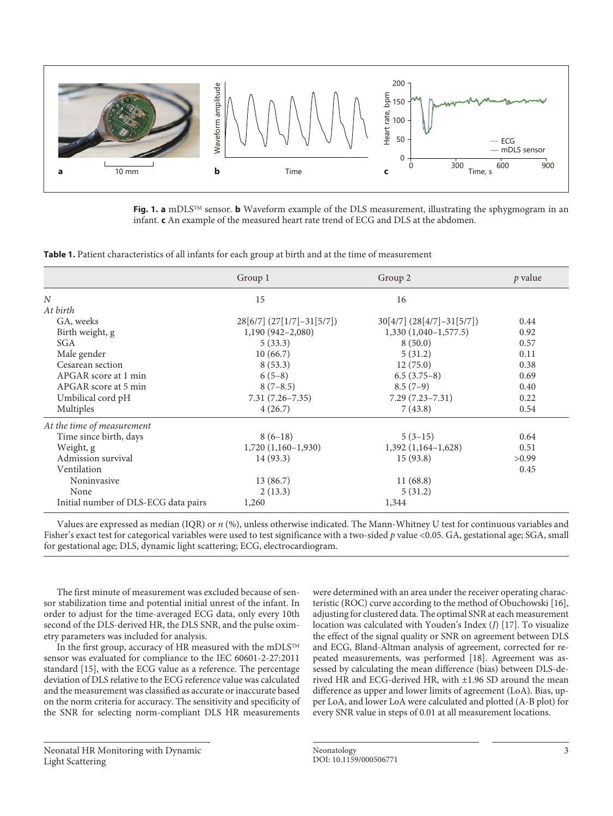

**Fig. 1. a** mDLSTM sensor. **b** Waveform example of the DLS measurement, illustrating the sphygmogram in an infant. **c** An example of the measured heart rate trend of ECG and DLS at the abdomen.

**Table 1.** Patient characteristics of all infants for each group at birth and at the time of measurement

|                                      | Group 1                       | Group 2                       | p value |
|--------------------------------------|-------------------------------|-------------------------------|---------|
| N                                    | 15                            | 16                            |         |
| At birth                             |                               |                               |         |
| GA, weeks                            | $28[6/7]$ $(27[1/7]-31[5/7])$ | $30[4/7]$ $(28[4/7]-31[5/7])$ | 0.44    |
| Birth weight, g                      | $1,190(942-2,080)$            | $1,330(1,040-1,577.5)$        | 0.92    |
| <b>SGA</b>                           | 5(33.3)                       | 8(50.0)                       | 0.57    |
| Male gender                          | 10(66.7)                      | 5(31.2)                       | 0.11    |
| Cesarean section                     | 8(53.3)                       | 12(75.0)                      | 0.38    |
| APGAR score at 1 min                 | $6(5-8)$                      | $6.5(3.75-8)$                 | 0.69    |
| APGAR score at 5 min                 | $8(7-8.5)$                    | $8.5(7-9)$                    | 0.40    |
| Umbilical cord pH                    | $7.31(7.26 - 7.35)$           | $7.29(7.23 - 7.31)$           | 0.22    |
| Multiples                            | 4(26.7)                       | 7(43.8)                       | 0.54    |
| At the time of measurement           |                               |                               |         |
| Time since birth, days               | $8(6-18)$                     | $5(3-15)$                     | 0.64    |
| Weight, g                            | $1,720(1,160-1,930)$          | $1,392(1,164-1,628)$          | 0.51    |
| Admission survival                   | 14(93.3)                      | 15(93.8)                      | >0.99   |
| Ventilation                          |                               |                               | 0.45    |
| Noninvasive                          | 13 (86.7)                     | 11(68.8)                      |         |
| None                                 | 2(13.3)                       | 5(31.2)                       |         |
| Initial number of DLS-ECG data pairs | 1,260                         | 1,344                         |         |

Values are expressed as median (IQR) or *n* (%), unless otherwise indicated. The Mann-Whitney U test for continuous variables and Fisher's exact test for categorical variables were used to test significance with a two-sided *p* value <0.05. GA, gestational age; SGA, small for gestational age; DLS, dynamic light scattering; ECG, electrocardiogram.

The first minute of measurement was excluded because of sensor stabilization time and potential initial unrest of the infant. In order to adjust for the time-averaged ECG data, only every 10th second of the DLS-derived HR, the DLS SNR, and the pulse oximetry parameters was included for analysis.

In the first group, accuracy of HR measured with the mDLSTM sensor was evaluated for compliance to the IEC 60601-2-27:2011 standard [[1](#page-7-0)[5\]](#page-7-5), with the ECG value as a reference. The percentage deviation of DLS relative to the ECG reference value was calculated and the measurement was classified as accurate or inaccurate based on the norm criteria for accuracy. The sensitivity and specificity of the SNR for selecting norm-compliant DLS HR measurements

were determined with an area under the receiver operating characteristic (ROC) curve according to the method of Obuchowski [\[1](#page-7-0)[6](#page-7-6)], adjusting for clustered data. The optimal SNR at each measurement location was calculated with Youden's Index (*J*) [[1](#page-7-0)[7\]](#page-7-7). To visualize the effect of the signal quality or SNR on agreement between DLS and ECG, Bland-Altman analysis of agreement, corrected for repeated measurements, was performed [\[1](#page-7-0)[8](#page-7-8)]. Agreement was assessed by calculating the mean difference (bias) between DLS-derived HR and ECG-derived HR, with ±1.96 SD around the mean difference as upper and lower limits of agreement (LoA). Bias, upper LoA, and lower LoA were calculated and plotted (A-B plot) for every SNR value in steps of 0.01 at all measurement locations.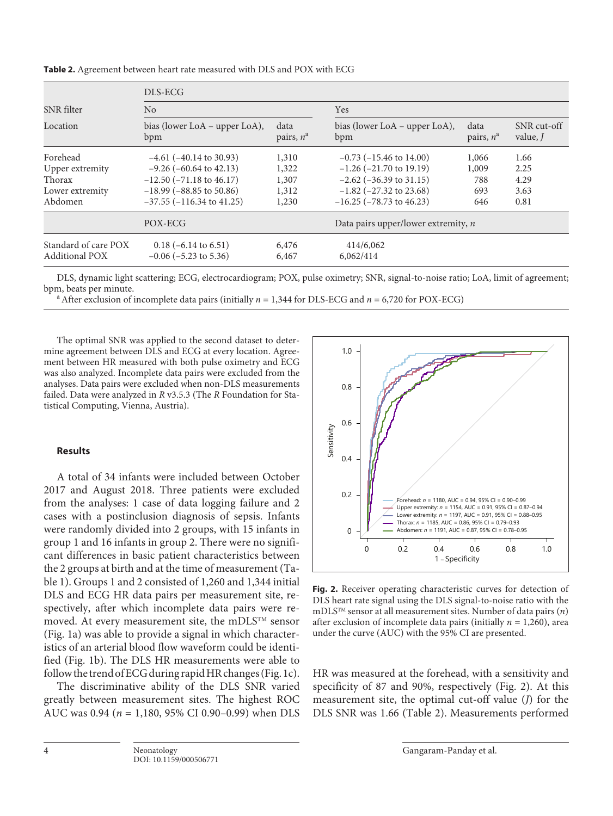|                                               | DLS-ECG                                              |                                            |                                      |                      |                         |  |  |
|-----------------------------------------------|------------------------------------------------------|--------------------------------------------|--------------------------------------|----------------------|-------------------------|--|--|
| SNR filter                                    | No                                                   |                                            | <b>Yes</b>                           |                      |                         |  |  |
| Location                                      | bias (lower LoA – upper LoA),<br>bpm                 | data<br>pairs, $n^a$                       | bias (lower LoA – upper LoA),<br>bpm | data<br>pairs, $n^a$ | SNR cut-off<br>value, J |  |  |
| Forehead                                      | $-4.61$ ( $-40.14$ to 30.93)                         | 1,310                                      | $-0.73$ ( $-15.46$ to 14.00)         | 1,066                | 1.66                    |  |  |
| Upper extremity                               | $-9.26$ ( $-60.64$ to 42.13)                         | 1,322                                      | $-1.26$ ( $-21.70$ to 19.19)         | 1,009                | 2.25                    |  |  |
| Thorax                                        | $-12.50$ ( $-71.18$ to 46.17)                        | 1,307                                      | $-2.62$ ( $-36.39$ to 31.15)         | 788                  | 4.29                    |  |  |
| Lower extremity                               | $-18.99$ ( $-88.85$ to 50.86)                        | 1,312                                      | $-1.82$ ( $-27.32$ to 23.68)         | 693                  | 3.63                    |  |  |
| Abdomen                                       | $-37.55$ ( $-116.34$ to $41.25$ )                    | 1,230                                      | $-16.25$ ( $-78.73$ to 46.23)        | 646                  | 0.81                    |  |  |
| POX-ECG                                       |                                                      | Data pairs upper/lower extremity, <i>n</i> |                                      |                      |                         |  |  |
| Standard of care POX<br><b>Additional POX</b> | $0.18$ (-6.14 to 6.51)<br>$-0.06$ ( $-5.23$ to 5.36) | 6,476<br>6,467                             | 414/6,062<br>6,062/414               |                      |                         |  |  |

**Table 2.** Agreement between heart rate measured with DLS and POX with ECG

DLS, dynamic light scattering; ECG, electrocardiogram; POX, pulse oximetry; SNR, signal-to-noise ratio; LoA, limit of agreement;

<sup>a</sup> After exclusion of incomplete data pairs (initially  $n = 1,344$  for DLS-ECG and  $n = 6,720$  for POX-ECG)

The optimal SNR was applied to the second dataset to determine agreement between DLS and ECG at every location. Agreement between HR measured with both pulse oximetry and ECG was also analyzed. Incomplete data pairs were excluded from the analyses. Data pairs were excluded when non-DLS measurements failed. Data were analyzed in *R* v3.5.3 (The *R* Foundation for Statistical Computing, Vienna, Austria).

# **Results**

A total of 34 infants were included between October 2017 and August 2018. Three patients were excluded from the analyses: 1 case of data logging failure and 2 cases with a postinclusion diagnosis of sepsis. Infants were randomly divided into 2 groups, with 15 infants in group 1 and 16 infants in group 2. There were no significant differences in basic patient characteristics between the 2 groups at birth and at the time of measurement (Table 1). Groups 1 and 2 consisted of 1,260 and 1,344 initial DLS and ECG HR data pairs per measurement site, respectively, after which incomplete data pairs were removed. At every measurement site, the mDLSTM sensor (Fig. 1a) was able to provide a signal in which characteristics of an arterial blood flow waveform could be identified (Fig. 1b). The DLS HR measurements were able to follow the trend of ECG during rapid HR changes (Fig. 1c).

The discriminative ability of the DLS SNR varied greatly between measurement sites. The highest ROC AUC was 0.94 (*n* = 1,180, 95% CI 0.90–0.99) when DLS



**Fig. 2.** Receiver operating characteristic curves for detection of DLS heart rate signal using the DLS signal-to-noise ratio with the mDLSTM sensor at all measurement sites. Number of data pairs (*n*) after exclusion of incomplete data pairs (initially *n* = 1,260), area under the curve (AUC) with the 95% CI are presented.

HR was measured at the forehead, with a sensitivity and specificity of 87 and 90%, respectively (Fig. 2). At this measurement site, the optimal cut-off value (*J*) for the DLS SNR was 1.66 (Table 2). Measurements performed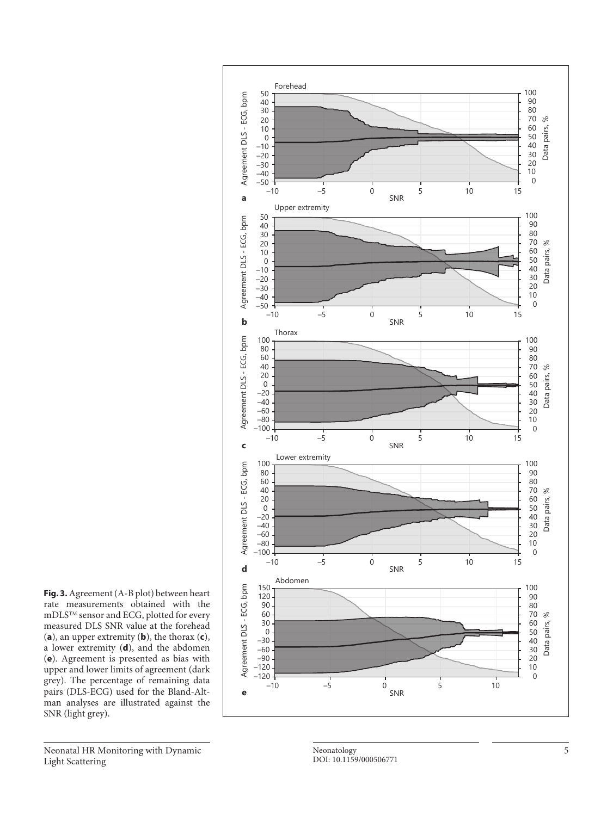

**Fig. 3.** Agreement (A-B plot) between heart rate measurements obtained with the  $\rm{mDIS^{TM}}$  sensor and ECG, plotted for every measured DLS SNR value at the forehead (a), an upper extremity (**b**), the thorax (**c**), a lower extremity ( **d**), and the abdomen ( **e**). Agreement is presented as bias with upper and lower limits of agreement (dark grey). The percentage of remaining data pairs (DLS-ECG) used for the Bland-Alt man analyses are illustrated against the SNR (light grey).

Neonatal HR Monitoring with Dynamic Light Scattering

Neonatology DOI: 10.1159/000506771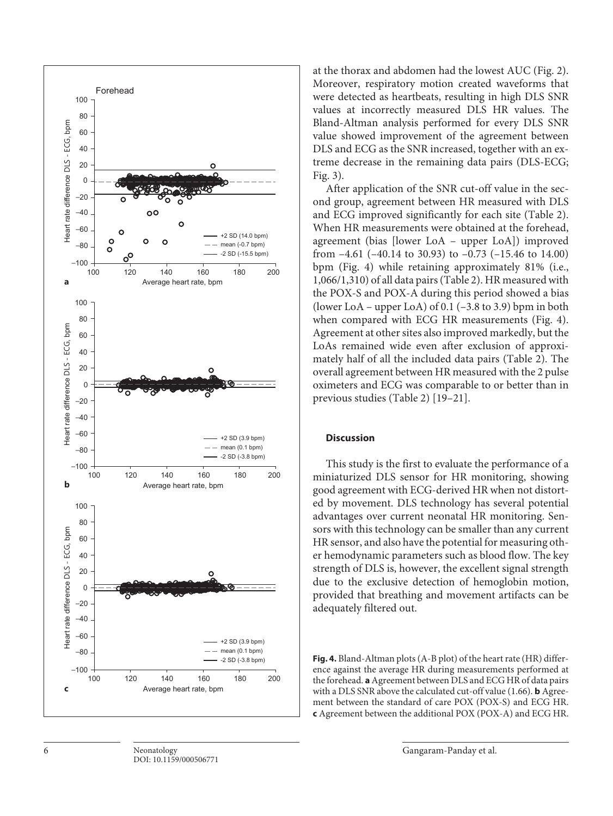

6 Neonatology Gangaram-Panday et al. DOI: 10.1159/000506771

at the thorax and abdomen had the lowest AUC (Fig. 2). Moreover, respiratory motion created waveforms that were detected as heartbeats, resulting in high DLS SNR values at incorrectly measured DLS HR values. The Bland-Altman analysis performed for every DLS SNR value showed improvement of the agreement between DLS and ECG as the SNR increased, together with an extreme decrease in the remaining data pairs (DLS-ECG; Fig. 3).

After application of the SNR cut-off value in the second group, agreement between HR measured with DLS and ECG improved significantly for each site (Table 2). When HR measurements were obtained at the forehead, agreement (bias [lower LoA – upper LoA]) improved from –4.61 (–40.14 to 30.93) to –0.73 (–15.46 to 14.00) bpm (Fig. 4) while retaining approximately 81% (i.e., 1,066/1,310) of all data pairs (Table 2). HR measured with the POX-S and POX-A during this period showed a bias (lower LoA – upper LoA) of  $0.1$  (–3.8 to 3.9) bpm in both when compared with ECG HR measurements (Fig. 4). Agreement at other sites also improved markedly, but the LoAs remained wide even after exclusion of approximately half of all the included data pairs (Table 2). The overall agreement between HR measured with the 2 pulse oximeters and ECG was comparable to or better than in previous studies (Table 2) [\[1](#page-7-0)[9](#page-7-4)[–2](#page-7-1)[1\]](#page-7-0).

# **Discussion**

This study is the first to evaluate the performance of a miniaturized DLS sensor for HR monitoring, showing good agreement with ECG-derived HR when not distorted by movement. DLS technology has several potential advantages over current neonatal HR monitoring. Sensors with this technology can be smaller than any current HR sensor, and also have the potential for measuring other hemodynamic parameters such as blood flow. The key strength of DLS is, however, the excellent signal strength due to the exclusive detection of hemoglobin motion, provided that breathing and movement artifacts can be adequately filtered out.

**Fig. 4.** Bland-Altman plots (A-B plot) of the heart rate (HR) difference against the average HR during measurements performed at the forehead. **a** Agreement between DLS and ECG HR of data pairs with a DLS SNR above the calculated cut-off value (1.66). **b** Agreement between the standard of care POX (POX-S) and ECG HR. **c** Agreement between the additional POX (POX-A) and ECG HR.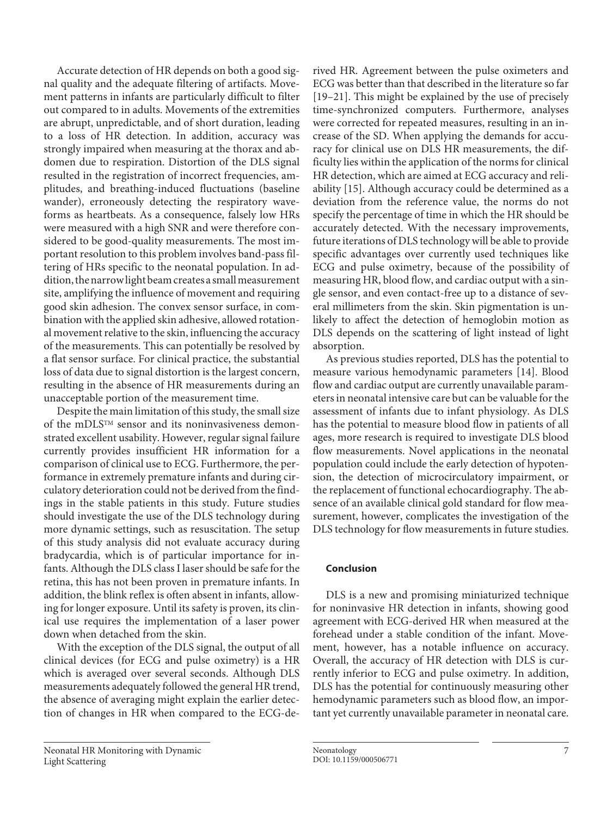Accurate detection of HR depends on both a good signal quality and the adequate filtering of artifacts. Movement patterns in infants are particularly difficult to filter out compared to in adults. Movements of the extremities are abrupt, unpredictable, and of short duration, leading to a loss of HR detection. In addition, accuracy was strongly impaired when measuring at the thorax and abdomen due to respiration. Distortion of the DLS signal resulted in the registration of incorrect frequencies, amplitudes, and breathing-induced fluctuations (baseline wander), erroneously detecting the respiratory waveforms as heartbeats. As a consequence, falsely low HRs were measured with a high SNR and were therefore considered to be good-quality measurements. The most important resolution to this problem involves band-pass filtering of HRs specific to the neonatal population. In addition, the narrow light beam creates a small measurement site, amplifying the influence of movement and requiring good skin adhesion. The convex sensor surface, in combination with the applied skin adhesive, allowed rotational movement relative to the skin, influencing the accuracy of the measurements. This can potentially be resolved by a flat sensor surface. For clinical practice, the substantial loss of data due to signal distortion is the largest concern, resulting in the absence of HR measurements during an unacceptable portion of the measurement time.

Despite the main limitation of this study, the small size of the mDLSTM sensor and its noninvasiveness demonstrated excellent usability. However, regular signal failure currently provides insufficient HR information for a comparison of clinical use to ECG. Furthermore, the performance in extremely premature infants and during circulatory deterioration could not be derived from the findings in the stable patients in this study. Future studies should investigate the use of the DLS technology during more dynamic settings, such as resuscitation. The setup of this study analysis did not evaluate accuracy during bradycardia, which is of particular importance for infants. Although the DLS class I laser should be safe for the retina, this has not been proven in premature infants. In addition, the blink reflex is often absent in infants, allowing for longer exposure. Until its safety is proven, its clinical use requires the implementation of a laser power down when detached from the skin.

With the exception of the DLS signal, the output of all clinical devices (for ECG and pulse oximetry) is a HR which is averaged over several seconds. Although DLS measurements adequately followed the general HR trend, the absence of averaging might explain the earlier detection of changes in HR when compared to the ECG-de-

Neonatal HR Monitoring with Dynamic Light Scattering

rived HR. Agreement between the pulse oximeters and ECG was better than that described in the literature so far [[1](#page-7-0)[9](#page-7-4)[–2](#page-7-1)[1\]](#page-7-0). This might be explained by the use of precisely time-synchronized computers. Furthermore, analyses were corrected for repeated measures, resulting in an increase of the SD. When applying the demands for accuracy for clinical use on DLS HR measurements, the difficulty lies within the application of the norms for clinical HR detection, which are aimed at ECG accuracy and reliability [[1](#page-7-0)[5](#page-7-5)]. Although accuracy could be determined as a deviation from the reference value, the norms do not specify the percentage of time in which the HR should be accurately detected. With the necessary improvements, future iterations of DLS technology will be able to provide specific advantages over currently used techniques like ECG and pulse oximetry, because of the possibility of measuring HR, blood flow, and cardiac output with a single sensor, and even contact-free up to a distance of several millimeters from the skin. Skin pigmentation is unlikely to affect the detection of hemoglobin motion as DLS depends on the scattering of light instead of light absorption.

As previous studies reported, DLS has the potential to measure various hemodynamic parameters [[1](#page-7-0)[4](#page-7-3)]. Blood flow and cardiac output are currently unavailable parameters in neonatal intensive care but can be valuable for the assessment of infants due to infant physiology. As DLS has the potential to measure blood flow in patients of all ages, more research is required to investigate DLS blood flow measurements. Novel applications in the neonatal population could include the early detection of hypotension, the detection of microcirculatory impairment, or the replacement of functional echocardiography. The absence of an available clinical gold standard for flow measurement, however, complicates the investigation of the DLS technology for flow measurements in future studies.

# **Conclusion**

DLS is a new and promising miniaturized technique for noninvasive HR detection in infants, showing good agreement with ECG-derived HR when measured at the forehead under a stable condition of the infant. Movement, however, has a notable influence on accuracy. Overall, the accuracy of HR detection with DLS is currently inferior to ECG and pulse oximetry. In addition, DLS has the potential for continuously measuring other hemodynamic parameters such as blood flow, an important yet currently unavailable parameter in neonatal care.